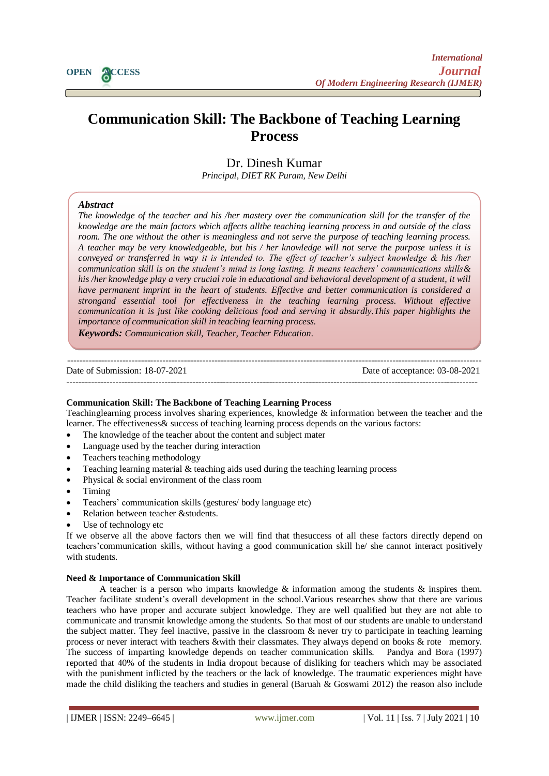

# **Communication Skill: The Backbone of Teaching Learning Process**

Dr. Dinesh Kumar *Principal, DIET RK Puram, New Delhi*

# *Abstract*

*Lecturer (Dept.Of District Resource Unit) The knowledge of the teacher and his /her mastery over the communication skill for the transfer of the DIET (South Westpace by the celebral disk intermastery over the communication state for the transfer of the class in and outside of the class new meage are the main-jactors milen a<sub>ny</sub>eers annie reaching cearning process in and emisted by the chase room. The one without the other is meaningless and not serve the purpose of teaching learning process. A teacher may be very knowledgeable, but his / her knowledge will not serve the purpose unless it is conveyed or transferred in way it is intended to. The effect of teacher's subject knowledge & his /her communication skill is on the student's mind is long lasting. It means teachers' communications skills& his /her knowledge play a very crucial role in educational and behavioral development of a student, it will have permanent imprint in the heart of students. Effective and better communication is considered a strongand essential tool for effectiveness in the teaching learning process. Without effective communication it is just like cooking delicious food and serving it absurdly.This paper highlights the importance of communication skill in teaching learning process.* 

*Keywords: Communication skill, Teacher, Teacher Education.*

---------------------------------------------------------------------------------------------------------------------------------------

Date of Submission: 18-07-2021 Date of acceptance: 03-08-2021

--------------------------------------------------------------------------------------------------------------------------------------

# **Communication Skill: The Backbone of Teaching Learning Process**

Teachinglearning process involves sharing experiences, knowledge & information between the teacher and the learner. The effectiveness& success of teaching learning process depends on the various factors:

- The knowledge of the teacher about the content and subject mater
- Language used by the teacher during interaction
- Teachers teaching methodology
- Teaching learning material & teaching aids used during the teaching learning process
- Physical & social environment of the class room
- Timing
- Teachers' communication skills (gestures/ body language etc)
- Relation between teacher &students.
- Use of technology etc

If we observe all the above factors then we will find that thesuccess of all these factors directly depend on teachers'communication skills, without having a good communication skill he/ she cannot interact positively with students.

# **Need & Importance of Communication Skill**

A teacher is a person who imparts knowledge & information among the students & inspires them. Teacher facilitate student's overall development in the school.Various researches show that there are various teachers who have proper and accurate subject knowledge. They are well qualified but they are not able to communicate and transmit knowledge among the students. So that most of our students are unable to understand the subject matter. They feel inactive, passive in the classroom & never try to participate in teaching learning process or never interact with teachers &with their classmates. They always depend on books & rote memory. The success of imparting knowledge depends on teacher communication skills. Pandya and Bora (1997) reported that 40% of the students in India dropout because of disliking for teachers which may be associated with the punishment inflicted by the teachers or the lack of knowledge. The traumatic experiences might have made the child disliking the teachers and studies in general (Baruah & Goswami 2012) the reason also include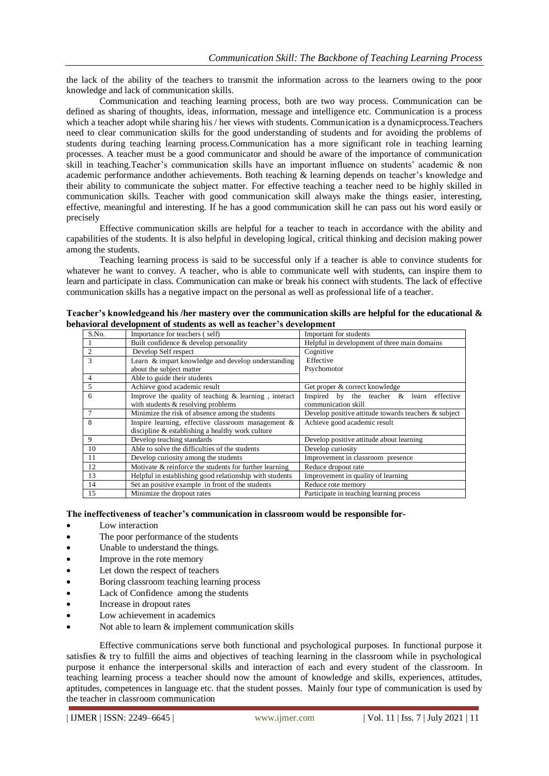the lack of the ability of the teachers to transmit the information across to the learners owing to the poor knowledge and lack of communication skills.

Communication and teaching learning process, both are two way process. Communication can be defined as sharing of thoughts, ideas, information, message and intelligence etc. Communication is a process which a teacher adopt while sharing his / her views with students. Communication is a dynamic process. Teachers need to clear communication skills for the good understanding of students and for avoiding the problems of students during teaching learning process.Communication has a more significant role in teaching learning processes. A teacher must be a good communicator and should be aware of the importance of communication skill in teaching.Teacher's communication skills have an important influence on students' academic & non academic performance andother achievements. Both teaching & learning depends on teacher's knowledge and their ability to communicate the subject matter. For effective teaching a teacher need to be highly skilled in communication skills. Teacher with good communication skill always make the things easier, interesting, effective, meaningful and interesting. If he has a good communication skill he can pass out his word easily or precisely

Effective communication skills are helpful for a teacher to teach in accordance with the ability and capabilities of the students. It is also helpful in developing logical, critical thinking and decision making power among the students.

Teaching learning process is said to be successful only if a teacher is able to convince students for whatever he want to convey. A teacher, who is able to communicate well with students, can inspire them to learn and participate in class. Communication can make or break his connect with students. The lack of effective communication skills has a negative impact on the personal as well as professional life of a teacher.

| Teacher's knowledgeand his /her mastery over the communication skills are helpful for the educational $\&$ |  |
|------------------------------------------------------------------------------------------------------------|--|
| behavioral development of students as well as teacher's development                                        |  |

| S.No. | Importance for teachers (self)                          | Important for students                               |
|-------|---------------------------------------------------------|------------------------------------------------------|
|       | Built confidence & develop personality                  | Helpful in development of three main domains         |
| 2     | Develop Self respect                                    | Cognitive                                            |
| 3     | Learn & impart knowledge and develop understanding      | Effective                                            |
|       | about the subject matter                                | Psychomotor                                          |
| 4     | Able to guide their students                            |                                                      |
| 5     | Achieve good academic result                            | Get proper & correct knowledge                       |
| 6     | Improve the quality of teaching & learning, interact    | effective<br>Inspired by the teacher $\&$ learn      |
|       | with students & resolving problems                      | communication skill                                  |
| 7     | Minimize the risk of absence among the students         | Develop positive attitude towards teachers & subject |
| 8     | Inspire learning, effective classroom management &      | Achieve good academic result                         |
|       | discipline & establishing a healthy work culture        |                                                      |
| 9     | Develop teaching standards                              | Develop positive attitude about learning             |
| 10    | Able to solve the difficulties of the students          | Develop curiosity                                    |
| 11    | Develop curiosity among the students                    | Improvement in classroom presence                    |
| 12    | Motivate & reinforce the students for further learning  | Reduce dropout rate                                  |
| 13    | Helpful in establishing good relationship with students | Improvement in quality of learning                   |
| 14    | Set an positive example in front of the students        | Reduce rote memory                                   |
| 15    | Minimize the dropout rates                              | Participate in teaching learning process             |

## **The ineffectiveness of teacher's communication in classroom would be responsible for-**

- Low interaction
- The poor performance of the students
- Unable to understand the things.
- Improve in the rote memory
- Let down the respect of teachers
- Boring classroom teaching learning process
- Lack of Confidence among the students
- Increase in dropout rates
- Low achievement in academics
- Not able to learn & implement communication skills

Effective communications serve both functional and psychological purposes. In functional purpose it satisfies & try to fulfill the aims and objectives of teaching learning in the classroom while in psychological purpose it enhance the interpersonal skills and interaction of each and every student of the classroom. In teaching learning process a teacher should now the amount of knowledge and skills, experiences, attitudes, aptitudes, competences in language etc. that the student posses. Mainly four type of communication is used by the teacher in classroom communication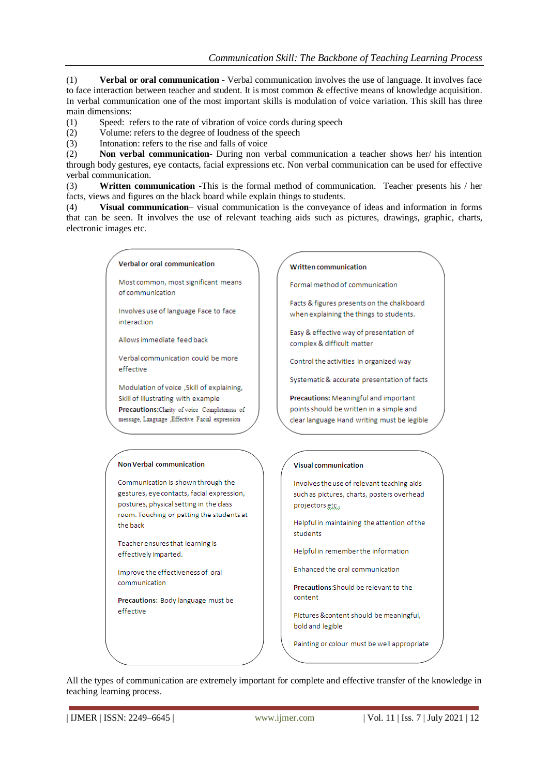(1) **Verbal or oral communication** - Verbal communication involves the use of language. It involves face to face interaction between teacher and student. It is most common & effective means of knowledge acquisition. In verbal communication one of the most important skills is modulation of voice variation. This skill has three main dimensions:

- (1) Speed: refers to the rate of vibration of voice cords during speech
- (2) Volume: refers to the degree of loudness of the speech
- (3) Intonation: refers to the rise and falls of voice

(2) **Non verbal communication**- During non verbal communication a teacher shows her/ his intention through body gestures, eye contacts, facial expressions etc. Non verbal communication can be used for effective verbal communication.

(3) **Written communication** -This is the formal method of communication. Teacher presents his / her facts, views and figures on the black board while explain things to students.

(4) **Visual communication**– visual communication is the conveyance of ideas and information in forms that can be seen. It involves the use of relevant teaching aids such as pictures, drawings, graphic, charts, electronic images etc.

## Verbal or oral communication

Most common, most significant means of communication

Involves use of language Face to face interaction

Allows immediate feed back

Verbal communication could be more effective

Modulation of voice , Skill of explaining, Skill of illustrating with example Precautions: Clarity of voice Completeness of message, Language , Effective Facial expression

## **Non Verbal communication**

Communication is shown through the gestures, eye contacts, facial expression, postures, physical setting in the class room. Touching or patting the students at the back

Teacher ensures that learning is effectively imparted.

Improve the effectiveness of oral communication

Precautions: Body language must be effective

**Written communication** 

Formal method of communication

Facts & figures presents on the chalkboard when explaining the things to students.

Easy & effective way of presentation of complex & difficult matter

Control the activities in organized way

Systematic & accurate presentation of facts

Precautions: Meaningful and important points should be written in a simple and clear language Hand writing must be legible

## **Visual communication**

Involves the use of relevant teaching aids such as pictures, charts, posters overhead projectors etc.

Helpful in maintaining the attention of the students

Helpful in remember the information

Enhanced the oral communication

Precautions: Should be relevant to the content

Pictures &content should be meaningful, bold and legible

Painting or colour must be well appropriate

All the types of communication are extremely important for complete and effective transfer of the knowledge in teaching learning process.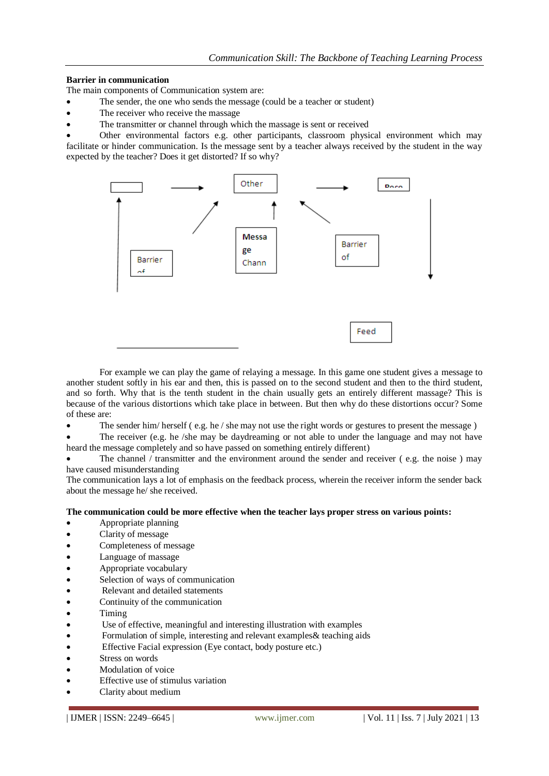# **Barrier in communication**

The main components of Communication system are:

- The sender, the one who sends the message (could be a teacher or student)
- The receiver who receive the massage
- The transmitter or channel through which the massage is sent or received

 Other environmental factors e.g. other participants, classroom physical environment which may facilitate or hinder communication. Is the message sent by a teacher always received by the student in the way expected by the teacher? Does it get distorted? If so why?



For example we can play the game of relaying a message. In this game one student gives a message to another student softly in his ear and then, this is passed on to the second student and then to the third student, and so forth. Why that is the tenth student in the chain usually gets an entirely different massage? This is because of the various distortions which take place in between. But then why do these distortions occur? Some of these are:

The sender him/ herself (e.g. he / she may not use the right words or gestures to present the message)

 The receiver (e.g. he /she may be daydreaming or not able to under the language and may not have heard the message completely and so have passed on something entirely different)

The channel / transmitter and the environment around the sender and receiver (e.g. the noise) may have caused misunderstanding

The communication lays a lot of emphasis on the feedback process, wherein the receiver inform the sender back about the message he/ she received.

# **The communication could be more effective when the teacher lays proper stress on various points:**

- Appropriate planning
- Clarity of message
- Completeness of message
- Language of massage
- Appropriate vocabulary
- Selection of ways of communication
- Relevant and detailed statements
- Continuity of the communication
- Timing
- Use of effective, meaningful and interesting illustration with examples
- Formulation of simple, interesting and relevant examples& teaching aids
- Effective Facial expression (Eye contact, body posture etc.)
- Stress on words
- Modulation of voice
- Effective use of stimulus variation
- Clarity about medium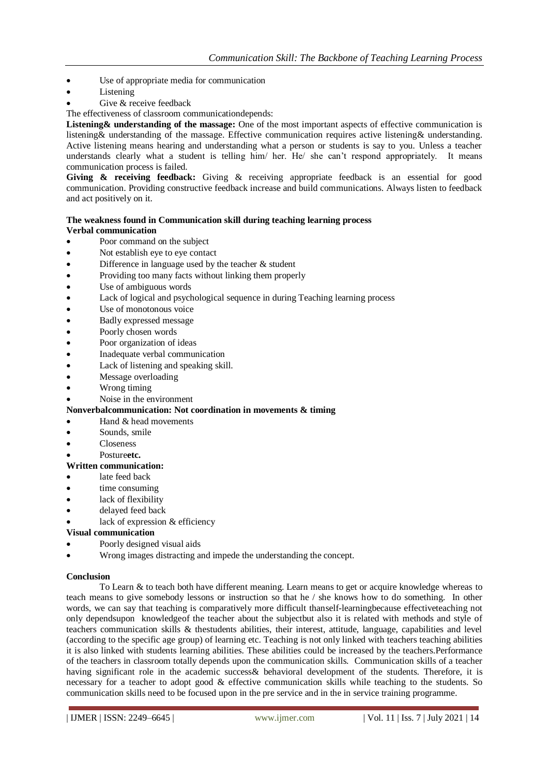- Use of appropriate media for communication
- Listening
- Give & receive feedback

The effectiveness of classroom communicationdepends:

**Listening& understanding of the massage:** One of the most important aspects of effective communication is listening& understanding of the massage. Effective communication requires active listening& understanding. Active listening means hearing and understanding what a person or students is say to you. Unless a teacher understands clearly what a student is telling him/ her. He/ she can't respond appropriately. It means communication process is failed.

**Giving & receiving feedback:** Giving & receiving appropriate feedback is an essential for good communication. Providing constructive feedback increase and build communications. Always listen to feedback and act positively on it.

# **The weakness found in Communication skill during teaching learning process Verbal communication**

- Poor command on the subject
- Not establish eye to eye contact
- Difference in language used by the teacher & student
- Providing too many facts without linking them properly
- Use of ambiguous words
- Lack of logical and psychological sequence in during Teaching learning process
- Use of monotonous voice
- Badly expressed message
- Poorly chosen words
- Poor organization of ideas
- Inadequate verbal communication
- Lack of listening and speaking skill.
- Message overloading
- Wrong timing
- Noise in the environment

# **Nonverbalcommunication: Not coordination in movements & timing**

- Hand & head movements
- Sounds, smile
- Closeness
- Posture**etc.**

# **Written communication:**

- late feed back
- time consuming
- lack of flexibility
- delayed feed back
- lack of expression & efficiency

# **Visual communication**

- Poorly designed visual aids
- Wrong images distracting and impede the understanding the concept.

# **Conclusion**

To Learn & to teach both have different meaning. Learn means to get or acquire knowledge whereas to teach means to give somebody lessons or instruction so that he / she knows how to do something. In other words, we can say that teaching is comparatively more difficult thanself-learningbecause effectiveteaching not only dependsupon knowledgeof the teacher about the subjectbut also it is related with methods and style of teachers communication skills & thestudents abilities, their interest, attitude, language, capabilities and level (according to the specific age group) of learning etc. Teaching is not only linked with teachers teaching abilities it is also linked with students learning abilities. These abilities could be increased by the teachers.Performance of the teachers in classroom totally depends upon the communication skills. Communication skills of a teacher having significant role in the academic success& behavioral development of the students. Therefore, it is necessary for a teacher to adopt good & effective communication skills while teaching to the students. So communication skills need to be focused upon in the pre service and in the in service training programme.